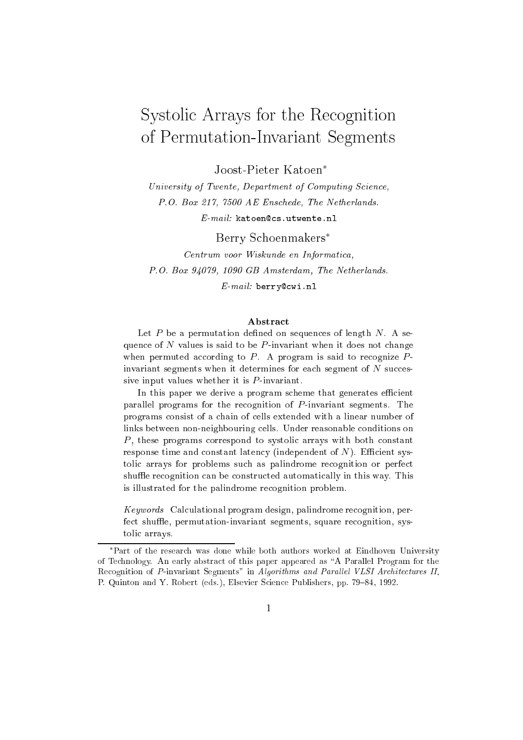# Systolic Arrays for the Recognition of Permutation-Invariant Segments

Joost-Pieter Katoen

University of Twente, Department of Computing Science, P.O. Box 217, 7500 AE Enschede, The Netherlands.  $E-mail:$  katoen@cs.utwente.nl

Berry Schoenmakers Centrum voor Wiskunde en Informatica, P.O. Box 94079, 1090 GB Amsterdam, The Netherlands. E-mail: berry@cwi.nl

#### Abstract

Let  $P$  be a permutation defined on sequences of length  $N$ . A sequence of N values is said to be P-invariant when it does not change when permuted according to  $P$ . A program is said to recognize  $P$ invariant segments when it determines for each segment of  $N$  successive input values whether it is  $P$ -invariant.

In this paper we derive a program scheme that generates efficient parallel programs for the recognition of  $P$ -invariant segments. The programs consist of a chain of cells extended with a linear number of links between non-neighbouring cells. Under reasonable conditions on  $P$ , these programs correspond to systolic arrays with both constant response time and constant latency (independent of  $N$ ). Efficient systolic arrays for problems such as palindrome recognition or perfect shuffle recognition can be constructed automatically in this way. This is illustrated for the palindrome recognition problem.

Keywords Calculational program design, palindrome recognition, perfect shuffle, permutation-invariant segments, square recognition, systolic arrays.

Part of the research was done while both authors worked at Eindhoven University of Technology. An early abstract of this paper appeared as \A Parallel Program for the Recognition of P-invariant Segments" in Algorithms and Parallel VLSI Architectures II, P. Quinton and Y. Robert (eds.), Elsevier Science Publishers, pp. 79–84, 1992.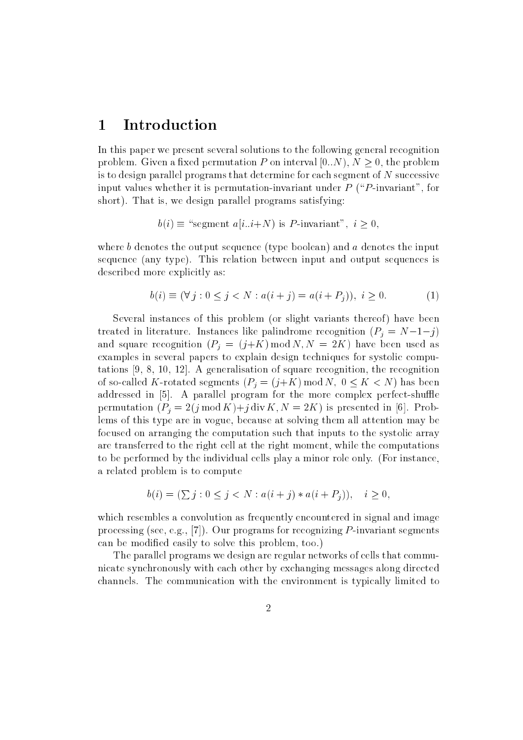### 1 Introduction

In this paper we present several solutions to the following general recognition problem. Given a fixed permutation P on interval  $[0..N), N \geq 0$ , the problem is to design parallel programs that determine for each segment of <sup>N</sup> successive input values whether it is permutation-invariant under  $P$  (" $P$ -invariant", for short). That is, we design parallel programs satisfying:

$$
b(i) \equiv
$$
 "segment  $a[i..i+N)$  is P-invariant",  $i \ge 0$ ,

where  $b$  denotes the output sequence (type boolean) and  $a$  denotes the input sequence (any type). This relation between input and output sequences is described more explicitly as:

$$
b(i) \equiv (\forall j : 0 \le j < N : a(i + j) = a(i + P_i)), \ i \ge 0. \tag{1}
$$

Several instances of this problem (or slight variants thereof) have been treated in literature. Instances like palindrome recognition  $(P_i = N-1-j)$ and square recognition  $(P_j = (j+K) \mod N, N = 2K)$  have been used as examples in several papers to explain design techniques for systolic computations [9, 8, 10, 12]. A generalisation of square recognition, the recognition of so-called K-rotated segments  $(P_i = (j + K) \mod N, 0 \leq K < N)$  has been addressed in  $[5]$ . A parallel program for the more complex perfect-shuffle permutation  $(P_i = 2(j \mod K)+j \text{ div } K, N = 2K)$  is presented in [6]. Problems of this type are in vogue, because at solving them all attention may be focused on arranging the computation such that inputs to the systolic array are transferred to the right cell at the right moment, while the computations to be performed by the individual cells play a minor role only. (For instance, a related problem is to compute

$$
b(i) = (\sum j : 0 \le j < N : a(i + j) * a(i + P_j)), \quad i \ge 0,
$$

which resembles a convolution as frequently encountered in signal and image processing (see, e.g., [7]). Our programs for recognizing  $P$ -invariant segments can be modied easily to solve this problem, too.)

The parallel programs we design are regular networks of cells that communicate synchronously with each other by exchanging messages along directed channels. The communication with the environment is typically limited to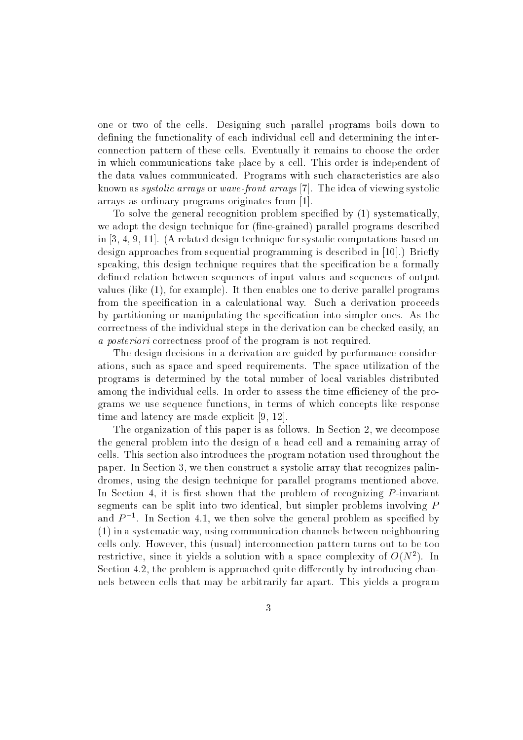one or two of the cells. Designing such parallel programs boils down to defining the functionality of each individual cell and determining the interconnection pattern of these cells. Eventually it remains to choose the order in which communications take place by a cell. This order is independent of the data values communicated. Programs with such characteristics are also known as systolic arrays or wave-front arrays [7]. The idea of viewing systolic arrays as ordinary programs originates from [1].

To solve the general recognition problem specied by (1) systematically, we adopt the design technique for (fine-grained) parallel programs described in [3, 4, 9, 11]. (A related design technique for systolic computations based on design approaches from sequential programming is described in  $[10]$ .) Briefly speaking, this design technique requires that the specication be a formally defined relation between sequences of input values and sequences of output values (like (1), for example). It then enables one to derive parallel programs from the specification in a calculational way. Such a derivation proceeds by partitioning or manipulating the specication into simpler ones. As the correctness of the individual steps in the derivation can be checked easily, an a *posteriori* correctness proof of the program is not required.

The design decisions in a derivation are guided by performance considerations, such as space and speed requirements. The space utilization of the programs is determined by the total number of local variables distributed among the individual cells. In order to assess the time efficiency of the programs we use sequence functions, in terms of which concepts like response time and latency are made explicit [9, 12].

The organization of this paper is as follows. In Section 2, we decompose the general problem into the design of a head cell and a remaining array of cells. This section also introduces the program notation used throughout the paper. In Section 3, we then construct a systolic array that recognizes palindromes, using the design technique for parallel programs mentioned above. In Section 4, it is first shown that the problem of recognizing  $P$ -invariant segments can be split into two identical, but simpler problems involving <sup>P</sup> and  $\Gamma$  –. In Section 4.1, we then solve the general problem as specified by (1) in a systematic way, using communication channels between neighbouring cells only. However, this (usual) interconnection pattern turns out to be too restrictive, since it yields a solution with a space complexity of  $O(N^2)$ . In Section 4.2, the problem is approached quite differently by introducing channels between cells that may be arbitrarily far apart. This yields a program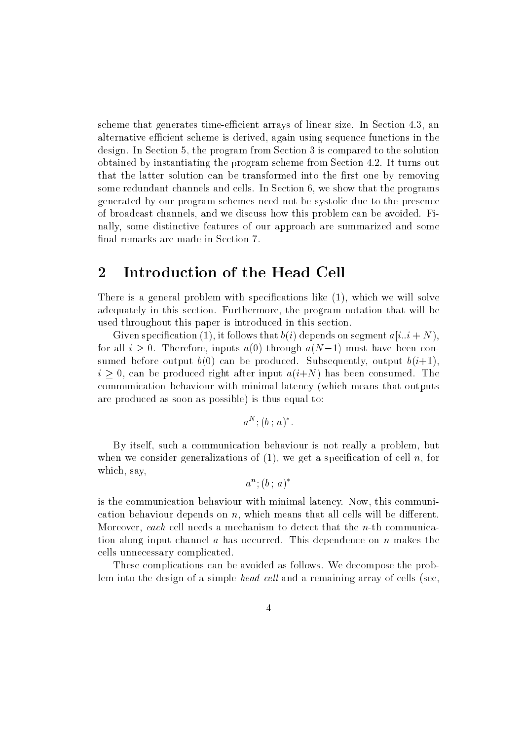scheme that generates time-efficient arrays of linear size. In Section 4.3, an alternative efficient scheme is derived, again using sequence functions in the design. In Section 5, the program from Section 3 is compared to the solution obtained by instantiating the program scheme from Section 4.2. It turns out that the latter solution can be transformed into the first one by removing some redundant channels and cells. In Section 6, we show that the programs generated by our program schemes need not be systolic due to the presence of broadcast channels, and we discuss how this problem can be avoided. Finally, some distinctive features of our approach are summarized and some final remarks are made in Section 7.

### 2 Introduction of the Head Cell

There is a general problem with specifications like  $(1)$ , which we will solve adequately in this section. Furthermore, the program notation that will be used throughout this paper is introduced in this section.

Given specification (1), it follows that  $b(i)$  depends on segment  $a[i..i + N)$ , for all  $i \geq 0$ . Therefore, inputs  $a(0)$  through  $a(N-1)$  must have been consumed before output  $b(0)$  can be produced. Subsequently, output  $b(i+1)$ ,  $i \geq 0$ , can be produced right after input  $a(i+N)$  has been consumed. The communication behaviour with minimal latency (which means that outputs are produced as soon as possible) is thus equal to:

$$
a^N; (b : a)^*.
$$

By itself, such a communication behaviour is not really a problem, but when we consider generalizations of  $(1)$ , we get a specification of cell n, for which, say,

$$
a^n; (b\,;\,a)^*
$$

is the communication behaviour with minimal latency. Now, this communication behaviour depends on  $n$ , which means that all cells will be different. Moreover, each cell needs a mechanism to detect that the n-th communication along input channel a has occurred. This dependence on  $n$  makes the cells unnecessary complicated.

These complications can be avoided as follows. We decompose the problem into the design of a simple head cell and a remaining array of cells (see,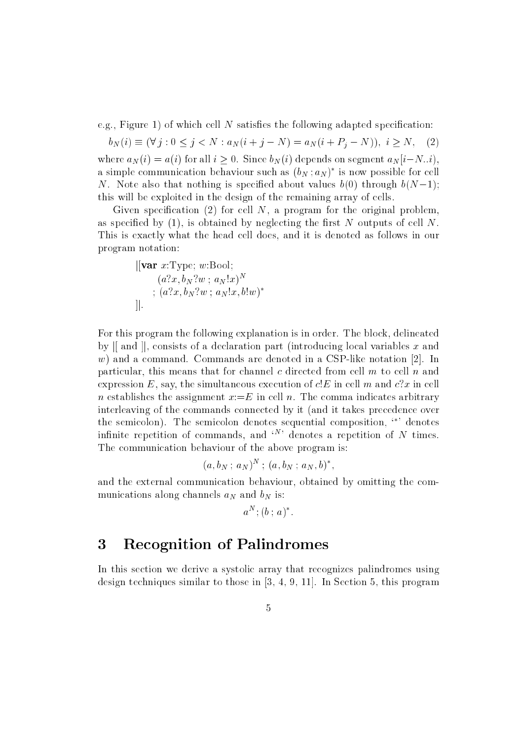e.g., Figure 1) of which cell  $N$  satisfies the following adapted specification:

 $b_N(i) \equiv (\forall j : 0 \leq j < N : a_N(i + j - N) = a_N(i + P_j - N)), i \geq N,$  (2) where  $a_N(i) = a(i)$  for all  $i \geq 0$ . Since  $b_N(i)$  depends on segment  $a_N[i-N..i)$ , a simple communication behaviour such as  $(v_N; a_N)$  is now possible for cell N. Note also that nothing is specified about values  $b(0)$  through  $b(N-1);$ this will be exploited in the design of the remaining array of cells.

Given specification (2) for cell  $N$ , a program for the original problem, as specified by  $(1)$ , is obtained by neglecting the first N outputs of cell N. This is exactly what the head cell does, and it is denoted as follows in our program notation:

$$
\begin{aligned} \n\left\| \text{var } x: \text{Type}; \, w: \text{Bool}; \\
& (a?x, b_N?w; \, a_N!x)^N \\
& ; \, (a?x, b_N?w; \, a_N!x, b!w)^* \\
\right\|.\n\end{aligned}
$$

For this program the following explanation is in order. The block, delineated by  $\parallel$  and  $\parallel$ , consists of a declaration part (introducing local variables x and  $w$ ) and a command. Commands are denoted in a CSP-like notation [2]. In particular, this means that for channel c directed from cell  $m$  to cell  $n$  and expression E, say, the simultaneous execution of  $cE$  in cell m and  $c2x$  in cell n establishes the assignment  $x:=E$  in cell n. The comma indicates arbitrary interleaving of the commands connected by it (and it takes precedence over the semicolon). The semicolon denotes sequential composition,  $\cdot^*$  denotes infinite repetition of commands, and  $\langle N \rangle$  denotes a repetition of N times. The communication behaviour of the above program is:

$$
(a, bN ; aN)N ; (a, bN ; aN, b)*,
$$

and the external communication behaviour, obtained by omitting the communications along channels  $a_N$  and  $b_N$  is:

$$
a^N; (b \; ; \; a)^*.
$$

### 3 Recognition of Palindromes

In this section we derive a systolic array that recognizes palindromes using design techniques similar to those in [3, 4, 9, 11]. In Section 5, this program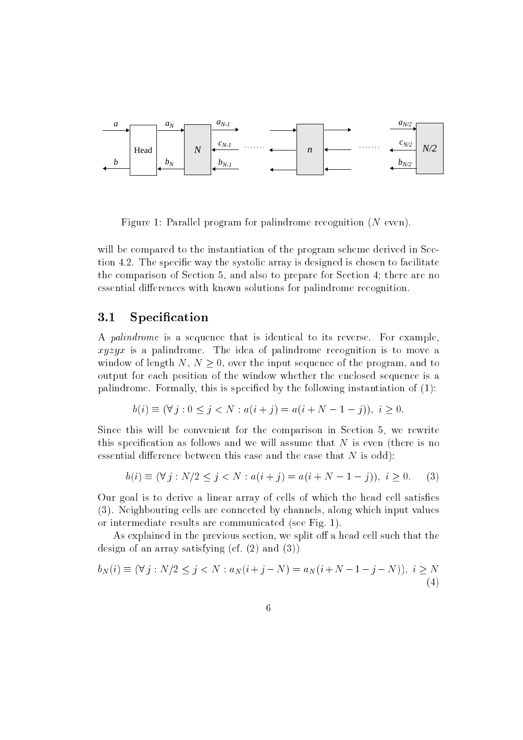

Figure 1: Parallel program for palindrome recognition (N even).

will be compared to the instantiation of the program scheme derived in Section 4.2. The specific way the systolic array is designed is chosen to facilitate the comparison of Section 5, and also to prepare for Section 4; there are no essential differences with known solutions for palindrome recognition.

#### 3.1 Specification

A palindrome is a sequence that is identical to its reverse. For example, xyzyx is a palindrome. The idea of palindrome recognition is to move a window of length N,  $N > 0$ , over the input sequence of the program, and to output for each position of the window whether the enclosed sequence is a palindrome. Formally, this is specified by the following instantiation of  $(1)$ :

$$
b(i) \equiv (\forall j : 0 \le j < N : a(i + j) = a(i + N - 1 - j)), \ i \ge 0.
$$

Since this will be convenient for the comparison in Section 5, we rewrite this specification as follows and we will assume that  $N$  is even (there is no essential difference between this case and the case that  $N$  is odd):

$$
b(i) \equiv (\forall j : N/2 \le j < N : a(i + j) = a(i + N - 1 - j)), \ i \ge 0. \tag{3}
$$

Our goal is to derive a linear array of cells of which the head cell satises (3). Neighbouring cells are connected by channels, along which input values or intermediate results are communicated (see Fig. 1).

As explained in the previous section, we split off a head cell such that the design of an array satisfying (cf. (2) and (3))

$$
b_N(i) \equiv (\forall j : N/2 \le j < N : a_N(i + j - N) = a_N(i + N - 1 - j - N)), \ i \ge N
$$
\n(4)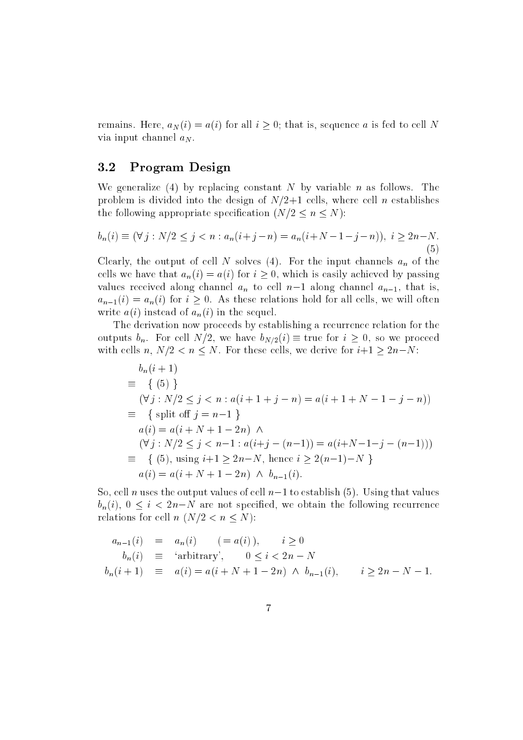remains. Here,  $a_N(i) = a(i)$  for all  $i \geq 0$ ; that is, sequence a is fed to cell N via input channel  $a_N$ .

#### 3.2 Program Design

We generalize (4) by replacing constant N by variable n as follows. The problem is divided into the design of  $N/2+1$  cells, where cell n establishes the following appropriate specification  $(N/2 \leq n \leq N)$ :

$$
b_n(i) \equiv (\forall j : N/2 \le j < n : a_n(i+j-n) = a_n(i+N-1-j-n)), \ i \ge 2n-N. \tag{5}
$$

Clearly, the output of cell N solves (4). For the input channels  $a_n$  of the cells we have that  $a_n(i) = a(i)$  for  $i \geq 0$ , which is easily achieved by passing values received along channel  $a_n$  to cell  $n-1$  along channel  $a_{n-1}$ , that is,  $a_{n-1}(i) = a_n(i)$  for  $i \geq 0$ . As these relations hold for all cells, we will often write  $a(i)$  instead of  $a_n(i)$  in the sequel.

The derivation now proceeds by establishing a recurrence relation for the outputs  $b_n$ . For cell  $N/2$ , we have  $b_{N/2}(i) \equiv$  true for  $i \geq 0$ , so we proceed with cells n,  $N/2 < n \leq N$ . For these cells, we derive for  $i+1 \geq 2n-N$ :

$$
b_n(i + 1)
$$
  
\n
$$
\equiv \{ (5) \}
$$
  
\n
$$
(\forall j : N/2 \le j < n : a(i + 1 + j - n) = a(i + 1 + N - 1 - j - n))
$$
  
\n
$$
\equiv \{ \text{ split off } j = n - 1 \}
$$
  
\n
$$
a(i) = a(i + N + 1 - 2n) \land
$$
  
\n
$$
(\forall j : N/2 \le j < n - 1 : a(i + j - (n - 1)) = a(i + N - 1 - j - (n - 1)))
$$
  
\n
$$
\equiv \{ (5), \text{ using } i + 1 \ge 2n - N, \text{ hence } i \ge 2(n - 1) - N \}
$$
  
\n
$$
a(i) = a(i + N + 1 - 2n) \land b_{n-1}(i).
$$

So, cell n uses the output values of cell  $n-1$  to establish (5). Using that values  $b_n(i)$ ,  $0 \le i \le 2n-N$  are not specified, we obtain the following recurrence relations for cell  $n (N/2 < n \leq N)$ :

$$
a_{n-1}(i) = a_n(i) \quad (= a(i)), \quad i \ge 0
$$
  
\n
$$
b_n(i) \equiv \text{'arbitrary'}, \quad 0 \le i < 2n - N
$$
  
\n
$$
b_n(i+1) \equiv a(i) = a(i+N+1-2n) \land b_{n-1}(i), \quad i \ge 2n - N - 1.
$$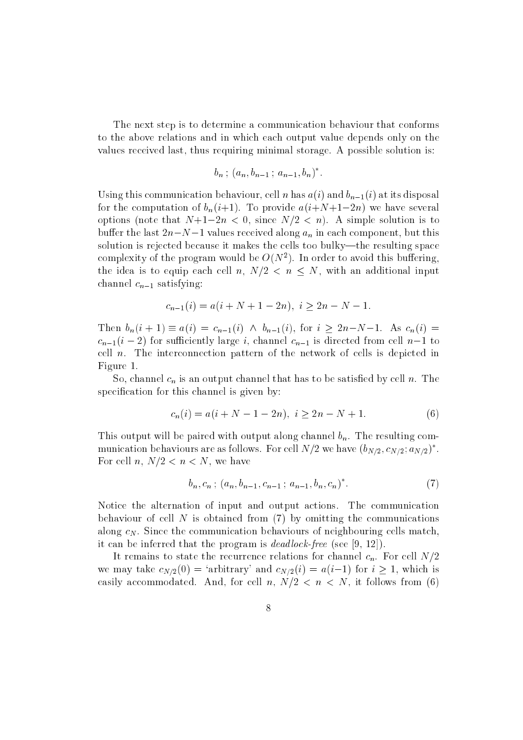The next step is to determine a communication behaviour that conforms to the above relations and in which each output value depends only on the values received last, thus requiring minimal storage. A possible solution is:

$$
b_n \, ; \, (a_n, b_{n-1} \, ; \, a_{n-1}, b_n)^*.
$$

Using this communication behaviour, cell n has  $a(i)$  and  $b_{n-1}(i)$  at its disposal for the computation of  $b_n(i+1)$ . To provide  $a(i+N+1-2n)$  we have several options (note that  $N+1-2n < 0$ , since  $N/2 < n$ ). A simple solution is to buffer the last  $2n-N-1$  values received along  $a_n$  in each component, but this solution is rejected because it makes the cells too bulky—the resulting space complexity of the program would be  $O(N^2)$ . In order to avoid this buffering, the idea is to equip each cell n,  $N/2 < n \leq N$ , with an additional input channel  $c_{n-1}$  satisfying:

$$
c_{n-1}(i) = a(i + N + 1 - 2n), \ i \ge 2n - N - 1.
$$

Then  $b_n(i + 1) \equiv a(i) = c_{n-1}(i) \land b_{n-1}(i)$ , for  $i \geq 2n-N-1$ . As  $c_n(i) =$  $c_{n-1}(i - 2)$  for sufficiently large i, channel  $c_{n-1}$  is directed from cell  $n-1$  to cell  $n$ . The interconnection pattern of the network of cells is depicted in Figure 1.

So, channel  $c_n$  is an output channel that has to be satisfied by cell n. The specification for this channel is given by:

$$
c_n(i) = a(i + N - 1 - 2n), \ i \ge 2n - N + 1. \tag{6}
$$

This output will be paired with output along channel  $b_n$ . The resulting communication behaviours are as follows. For cell  $N/Z$  we have  $(b_{N/2}, c_{N/2}; a_{N/2})$  . For cell n,  $N/2 < n < N$ , we have

$$
b_n, c_n; (a_n, b_{n-1}, c_{n-1}; a_{n-1}, b_n, c_n)^*.
$$
 (7)

Notice the alternation of input and output actions. The communication behaviour of cell  $N$  is obtained from (7) by omitting the communications along  $c_N$ . Since the communication behaviours of neighbouring cells match, it can be inferred that the program is dead lock-free (see [9, 12]).

It remains to state the recurrence relations for channel  $c_n$ . For cell  $N/2$ we may take  $c_{N/2}(0)$  = 'arbitrary' and  $c_{N/2}(i) = a(i-1)$  for  $i \ge 1$ , which is easily accommodated. And, for cell n,  $N/2 < n < N$ , it follows from (6)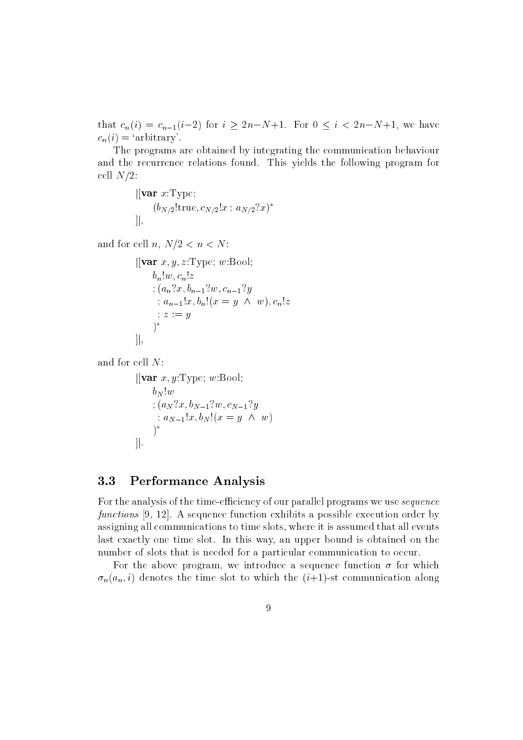that  $c_n(i) = c_{n-1}(i-2)$  for  $i \ge 2n-N+1$ . For  $0 \le i < 2n-N+1$ , we have  $c_n(i) = 'arbitrary'.$ 

The programs are obtained by integrating the communication behaviour and the recurrence relations found. This yields the following program for cell  $N/2$ :

$$
\begin{aligned} &|[\mathbf{var} \; x:\text{Type};\\ & (b_{N/2}!\text{true},c_{N/2}!x \; ; \; a_{N/2}\; ?x)^*\\ |], \end{aligned}
$$

and for cell n,  $N/2 < n < N$ :

```
\vert \vertvar x, y, z:Type; w:Bool;b_n!w, c_n!z; (a_n?x, b_{n-1}.y, c_{n-1}.y); a_{n-1}x, b_n(x = y \wedge w), c_nz\vdots z := y)*
]
```

```
and for cell N:
```

```
\left\vert \left[ \mathbf{var} \; x, y \right] \right\vertType; w:Bool;
           b_N!w\mathbf{y} , and \mathbf{y} and \mathbf{y} and \mathbf{y} and \mathbf{y} and \mathbf{y}; and \mathbf{x} = \mathbf{y} is become the \mathbf{y} . Then \mathbf{x})
\cdot
```
### 3.3 Performance Analysis

For the analysis of the time-efficiency of our parallel programs we use *sequence* functions [9, 12]. A sequence function exhibits a possible execution order by assigning all communications to time slots, where it is assumed that all events last exactly one time slot. In this way, an upper bound is obtained on the number of slots that is needed for a particular communication to occur.

For the above program, we introduce a sequence function  $\sigma$  for which  $\sigma_n(a_n, i)$  denotes the time slot to which the  $(i+1)$ -st communication along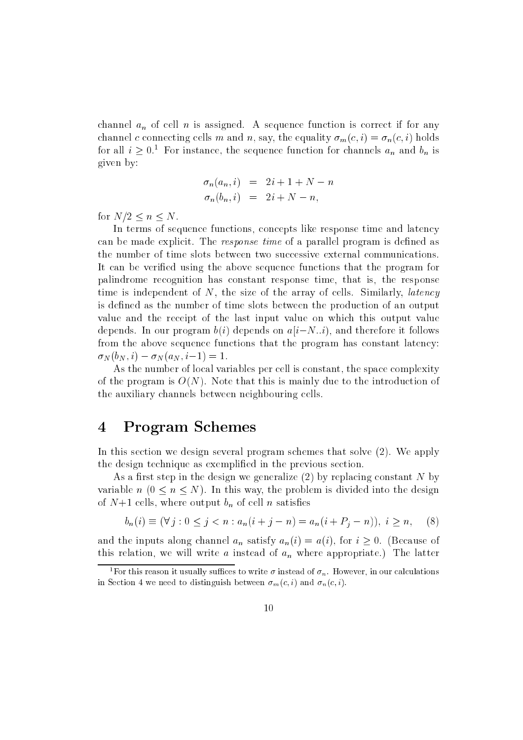channel  $a_n$  of cell n is assigned. A sequence function is correct if for any channel c connecting cells m and n, say, the equality  $\sigma_m(c, i) = \sigma_n(c, i)$  holds for all  $i \geq 0.1$  For instance, the sequence function for channels  $a_n$  and  $b_n$  is given by:

$$
\begin{array}{rcl}\n\sigma_n(a_n, i) & = & 2i + 1 + N - n \\
\sigma_n(b_n, i) & = & 2i + N - n,\n\end{array}
$$

for  $N/2 < n < N$ .

In terms of sequence functions, concepts like response time and latency can be made explicit. The *response time* of a parallel program is defined as the number of time slots between two successive external communications. It can be veried using the above sequence functions that the program for palindrome recognition has constant response time, that is, the response time is independent of  $N$ , the size of the array of cells. Similarly, *latency* is defined as the number of time slots between the production of an output value and the receipt of the last input value on which this output value depends. In our program  $b(i)$  depends on  $a[i-N..i)$ , and therefore it follows from the above sequence functions that the program has constant latency:  $\sigma_N(b_N, i) - \sigma_N(a_N, i-1) = 1.$ 

As the number of local variables per cell is constant, the space complexity of the program is  $O(N)$ . Note that this is mainly due to the introduction of the auxiliary channels between neighbouring cells.

### 4 Program Schemes

In this section we design several program schemes that solve (2). We apply the design technique as exemplied in the previous section.

As a first step in the design we generalize  $(2)$  by replacing constant N by variable  $n (0 \le n \le N)$ . In this way, the problem is divided into the design of  $N+1$  cells, where output  $b_n$  of cell n satisfies

$$
b_n(i) \equiv (\forall j : 0 \le j < n : a_n(i + j - n) = a_n(i + P_j - n)), \ i \ge n, \quad (8)
$$

and the inputs along channel  $a_n$  satisfy  $a_n(i) = a(i)$ , for  $i \geq 0$ . (Because of this relation, we will write a instead of  $a_n$  where appropriate.) The latter

<sup>&</sup>lt;sup>1</sup>For this reason it usually suffices to write  $\sigma$  instead of  $\sigma_n$ . However, in our calculations in Section 4 we need to distinguish between  $\sigma_m(c, i)$  and  $\sigma_n(c, i)$ .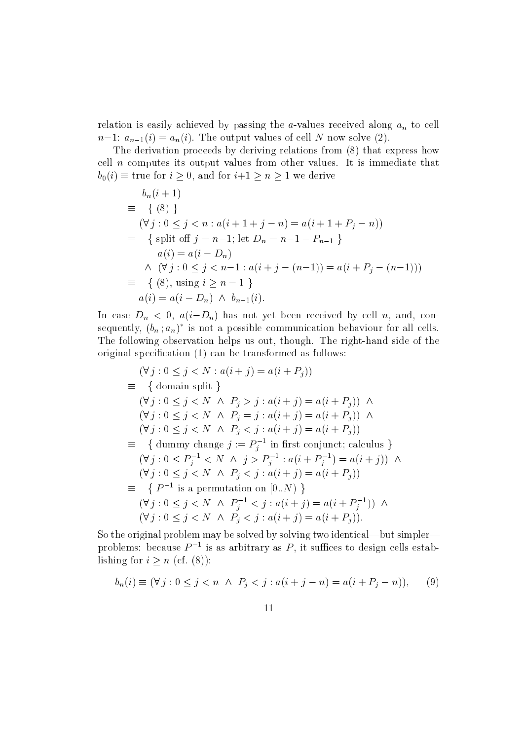relation is easily achieved by passing the a-values received along  $a_n$  to cell  $n-1: a_{n-1}(i) = a_n(i)$ . The output values of cell N now solve (2).

The derivation proceeds by deriving relations from (8) that express how cell <sup>n</sup> computes its output values from other values. It is immediate that  $b_0(i) \equiv \text{true}$  for  $i \geq 0$ , and for  $i+1 \geq n \geq 1$  we derive

$$
b_n(i + 1)
$$
  
\n
$$
\equiv \{ (8) \}
$$
  
\n
$$
(\forall j : 0 \le j < n : a(i + 1 + j - n) = a(i + 1 + P_j - n))
$$
  
\n
$$
\equiv \{ \text{ split off } j = n - 1; \text{ let } D_n = n - 1 - P_{n-1} \}
$$
  
\n
$$
a(i) = a(i - D_n)
$$
  
\n
$$
\wedge (\forall j : 0 \le j < n - 1 : a(i + j - (n - 1)) = a(i + P_j - (n - 1)))
$$
  
\n
$$
\equiv \{ (8), \text{ using } i \ge n - 1 \}
$$
  
\n
$$
a(i) = a(i - D_n) \wedge b_{n-1}(i).
$$

In case  $D_n < 0$ ,  $a(i-D_n)$  has not yet been received by cell n, and, consequently,  $(\theta_n; a_n)$  is not a possible communication behaviour for all cells. The following observation helps us out, though. The right-hand side of the original specification (1) can be transformed as follows:

$$
(\forall j : 0 \leq j < N : a(i + j) = a(i + P_j))
$$
\n
$$
\equiv \{ \text{ domain split } \}
$$
\n
$$
(\forall j : 0 \leq j < N \land P_j > j : a(i + j) = a(i + P_j)) \land
$$
\n
$$
(\forall j : 0 \leq j < N \land P_j = j : a(i + j) = a(i + P_j)) \land
$$
\n
$$
(\forall j : 0 \leq j < N \land P_j < j : a(i + j) = a(i + P_j))
$$
\n
$$
\equiv \{ \text{ dummy change } j := P_j^{-1} \text{ in first conjunct; calculus } \}
$$
\n
$$
(\forall j : 0 \leq P_j^{-1} < N \land j > P_j^{-1} : a(i + P_j^{-1}) = a(i + j)) \land
$$
\n
$$
(\forall j : 0 \leq j < N \land P_j < j : a(i + j) = a(i + P_j))
$$
\n
$$
\equiv \{ P^{-1} \text{ is a permutation on } [0..N) \}
$$
\n
$$
(\forall j : 0 \leq j < N \land P_j^{-1} < j : a(i + j) = a(i + P_j^{-1})) \land
$$
\n
$$
(\forall j : 0 \leq j < N \land P_j < j : a(i + j) = a(i + P_j)).
$$

So the original problem may be solved by solving two identical—but simpler problems: because  $P^{-1}$  is as arbitrary as  $P$ , it sumees to design cells establishing for  $i \geq n$  (cf. (8)):

$$
b_n(i) \equiv (\forall j : 0 \le j < n \ \land \ P_j < j : a(i + j - n) = a(i + P_j - n)), \tag{9}
$$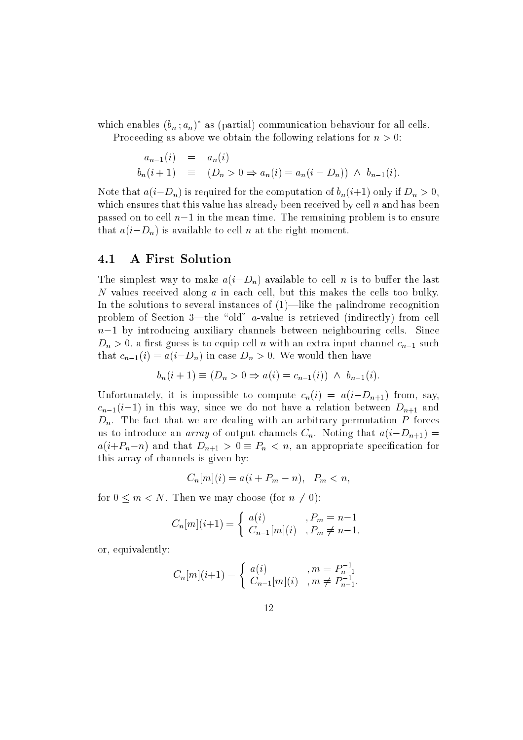which enables  $(b_n; a_n)^*$  as (partial) communication behaviour for all cells. Proceeding as above we obtain the following relations for  $n > 0$ :

$$
a_{n-1}(i) = a_n(i)
$$
  
\n
$$
b_n(i+1) \equiv (D_n > 0 \Rightarrow a_n(i) = a_n(i - D_n)) \land b_{n-1}(i).
$$

Note that  $a(i-D_n)$  is required for the computation of  $b_n(i+1)$  only if  $D_n > 0$ , which ensures that this value has already been received by cell  $n$  and has been passed on to cell  $n-1$  in the mean time. The remaining problem is to ensure that  $a(i-D_n)$  is available to cell n at the right moment.

#### 4.1 A First Solution

The simplest way to make  $a(i-D_n)$  available to cell n is to buffer the last <sup>N</sup> values received along <sup>a</sup> in each cell, but this makes the cells too bulky. In the solutions to several instances of  $(1)$ —like the palindrome recognition problem of Section 3—the "old" a-value is retrieved (indirectly) from cell  $n-1$  by introducing auxiliary channels between neighbouring cells. Since  $D_n > 0$ , a first guess is to equip cell n with an extra input channel  $c_{n-1}$  such that  $c_{n-1}(i) = a(i-D_n)$  in case  $D_n > 0$ . We would then have

$$
b_n(i + 1) \equiv (D_n > 0 \Rightarrow a(i) = c_{n-1}(i)) \land b_{n-1}(i).
$$

Unfortunately, it is impossible to compute  $c_n(i) = a(i-D_{n+1})$  from, say,  $c_{n-1}(i-1)$  in this way, since we do not have a relation between  $D_{n+1}$  and  $D_n$ . The fact that we are dealing with an arbitrary permutation P forces us to introduce an *array* of output channels  $C_n$ . Noting that  $a(i-D_{n+1}) =$  $a(i+P_n-n)$  and that  $D_{n+1}>0\equiv P_n < n$ , an appropriate specification for this array of channels is given by:

$$
C_n[m](i) = a(i + P_m - n), \quad P_m < n,
$$

for  $0 \leq m \leq N$ . Then we may choose (for  $n \neq 0$ ):

$$
C_n[m](i+1) = \begin{cases} a(i) & , P_m = n-1 \\ C_{n-1}[m](i) & , P_m \neq n-1, \end{cases}
$$

or, equivalently:

$$
C_n[m](i+1) = \begin{cases} a(i) & , m = P_{n-1}^{-1} \\ C_{n-1}[m](i) & , m \neq P_{n-1}^{-1}. \end{cases}
$$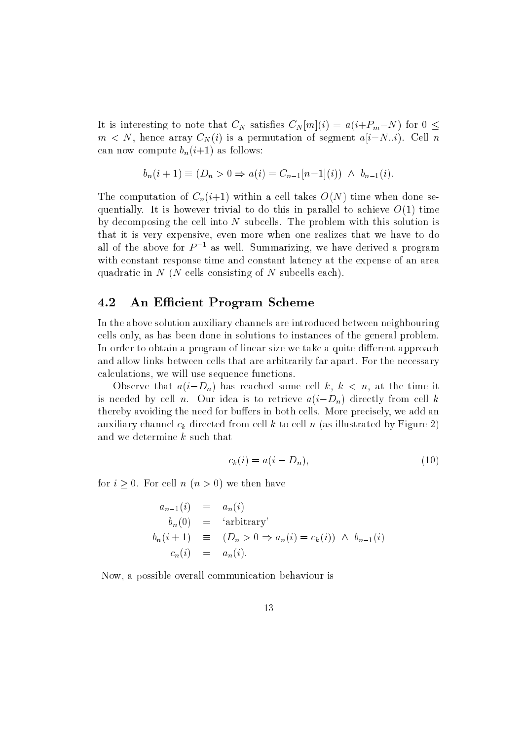It is interesting to note that  $C_N$  satisfies  $C_N[m](i) = a(i+P_m-N)$  for  $0 \leq$  $m < N$ , hence array  $C_N(i)$  is a permutation of segment  $a[i-N..i)$ . Cell n can now compute  $b_n(i+1)$  as follows:

$$
b_n(i + 1) \equiv (D_n > 0 \Rightarrow a(i) = C_{n-1}[n-1](i)) \land b_{n-1}(i).
$$

The computation of  $C_n(i+1)$  within a cell takes  $O(N)$  time when done sequentially. It is however trivial to do this in parallel to achieve  $O(1)$  time by decomposing the cell into  $N$  subcells. The problem with this solution is that it is very expensive, even more when one realizes that we have to do all of the above for  $P^{-1}$  as well. Summarizing, we have derived a program with constant response time and constant latency at the expense of an area quadratic in  $N$  (N cells consisting of N subcells each).

#### 4.2 An Efficient Program Scheme

In the above solution auxiliary channels are introduced between neighbouring cells only, as has been done in solutions to instances of the general problem. In order to obtain a program of linear size we take a quite different approach and allow links between cells that are arbitrarily far apart. For the necessary calculations, we will use sequence functions.

Observe that  $a(i-D_n)$  has reached some cell k,  $k < n$ , at the time it is needed by cell n. Our idea is to retrieve  $a(i-D_n)$  directly from cell k thereby avoiding the need for buffers in both cells. More precisely, we add an auxiliary channel  $c_k$  directed from cell k to cell n (as illustrated by Figure 2) and we determine <sup>k</sup> such that

$$
c_k(i) = a(i - D_n),\tag{10}
$$

for  $i \geq 0$ . For cell  $n (n > 0)$  we then have

$$
a_{n-1}(i) = a_n(i)
$$
  
\n
$$
b_n(0) = 'arbitrary'
$$
  
\n
$$
b_n(i+1) \equiv (D_n > 0 \Rightarrow a_n(i) = c_k(i)) \land b_{n-1}(i)
$$
  
\n
$$
c_n(i) = a_n(i).
$$

Now, a possible overall communication behaviour is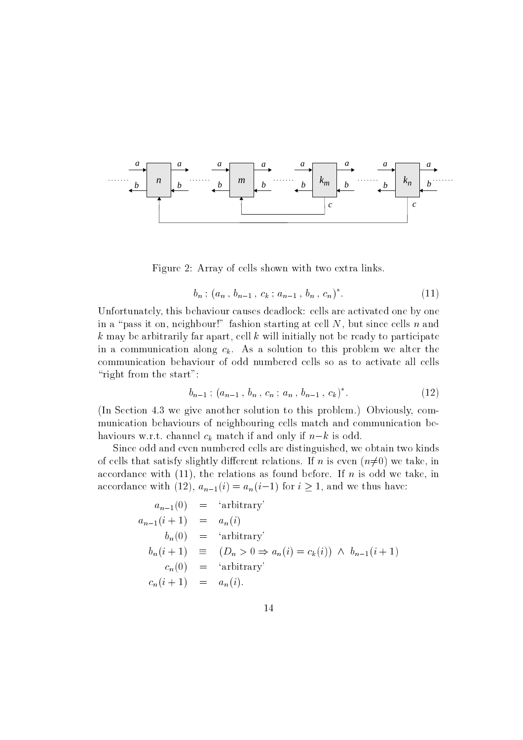

Figure 2: Array of cells shown with two extra links.

$$
b_n; (a_n, b_{n-1}, c_k; a_{n-1}, b_n, c_n)^*.
$$
 (11)

Unfortunately, this behaviour causes deadlock: cells are activated one by one in a "pass it on, neighbour!" fashion starting at cell N, but since cells n and  $k$  may be arbitrarily far apart, cell  $k$  will initially not be ready to participate in a communication along  $c_k$ . As a solution to this problem we alter the communication behaviour of odd numbered cells so as to activate all cells "right from the start":

$$
b_{n-1}; (a_{n-1}, b_n, c_n; a_n, b_{n-1}, c_k)^*.
$$
 (12)

(In Section 4.3 we give another solution to this problem.) Obviously, communication behaviours of neighbouring cells match and communication behaviours w.r.t. channel  $c_k$  match if and only if  $n-k$  is odd.

Since odd and even numbered cells are distinguished, we obtain two kinds of cells that satisfy slightly different relations. If n is even  $(n\neq0)$  we take, in accordance with  $(11)$ , the relations as found before. If n is odd we take, in accordance with (12),  $a_{n-1}(i) = a_n(i-1)$  for  $i \ge 1$ , and we thus have:

$$
a_{n-1}(0) = 'arbitrary'\n a_{n-1}(i + 1) = a_n(i)\n b_n(0) = 'arbitrary'\n b_n(i + 1) \equiv (D_n > 0 \Rightarrow a_n(i) = c_k(i)) \land b_{n-1}(i + 1)\n c_n(0) = 'arbitrary'\n c_n(i + 1) = a_n(i).
$$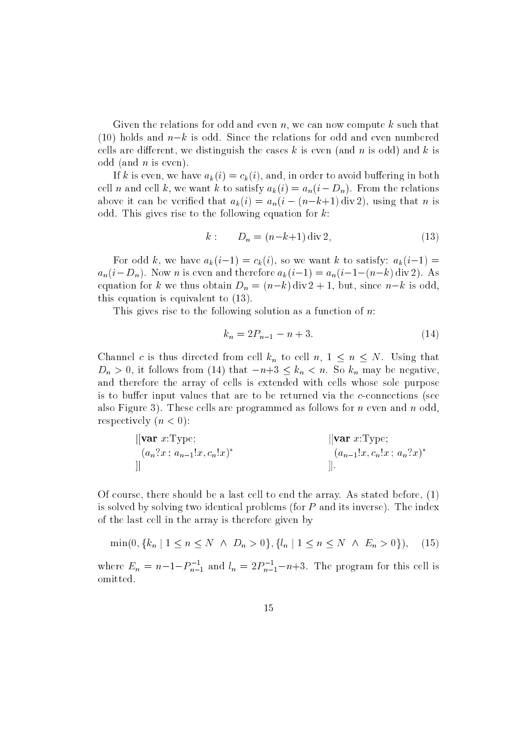Given the relations for odd and even n, we can now compute  $k$  such that (10) holds and  $n-k$  is odd. Since the relations for odd and even numbered cells are different, we distinguish the cases  $k$  is even (and n is odd) and  $k$  is odd (and  $n$  is even).

If k is even, we have  $a_k(i) = c_k(i)$ , and, in order to avoid buffering in both cell n and cell k, we want k to satisfy  $a_k(i) = a_n(i - D_n)$ . From the relations above it can be verified that  $a_k(i) = a_n(i - (n-k+1) \text{ div } 2)$ , using that *n* is odd. This gives rise to the following equation for  $k$ :

$$
k: \t D_n = (n-k+1) \, \text{div} \, 2,\t(13)
$$

For odd k, we have  $a_k(i-1) = c_k(i)$ , so we want k to satisfy:  $a_k(i-1) =$  $a_n(i-D_n)$ . Now *n* is even and therefore  $a_k(i-1) = a_n(i-1-(n-k) \operatorname{div} 2)$ . As equation for k we thus obtain  $D_n = (n-k) \text{div} 2 + 1$ , but, since  $n-k$  is odd, this equation is equivalent to (13).

This gives rise to the following solution as a function of  $n$ .

$$
k_n = 2P_{n-1} - n + 3.\t\t(14)
$$

Channel c is thus directed from cell  $k_n$  to cell  $n, 1 \leq n \leq N$ . Using that  $D_n > 0$ , it follows from (14) that  $-n+3 \leq k_n < n$ . So  $k_n$  may be negative, and therefore the array of cells is extended with cells whose sole purpose is to buffer input values that are to be returned via the  $c$ -connections (see also Figure 3). These cells are programmed as follows for  $n$  even and  $n$  odd, respectively  $(n < 0)$ :

$$
\begin{array}{ll}\n\text{[var } x:\text{Type}; \\
(a_n?x \text{ ; } a_{n-1}!x, c_n!x)^* & (a_{n-1}!x, c_n!x \text{ ; } a_n?x)^* \\
\text{]]\n\end{array}
$$

Of course, there should be a last cell to end the array. As stated before, (1) is solved by solving two identical problems (for <sup>P</sup> and its inverse). The index of the last cell in the array is therefore given by

$$
\min(0, \{k_n \mid 1 \le n \le N \land D_n > 0\}, \{l_n \mid 1 \le n \le N \land E_n > 0\}), \quad (15)
$$

where  $E_n = n-1-P_{n-1}$  and  $l_n = 2P_{n-1}-n+3$ . The program for this cell is omitted.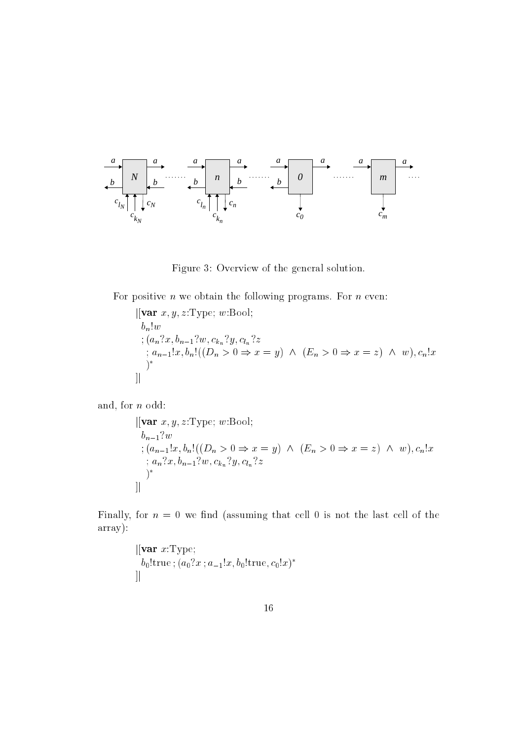

Figure 3: Overview of the general solution.

For positive  $n$  we obtain the following programs. For  $n$  even:

 $[[var x, y, z:Type; w:Bool;$ b and the second state of the second state in the second state in the second state in the second state in the second state in the second state in the second state in the second state in the second state in the second state ; (and  $m$ ; can be  $n-1$  :  $m$ ; can be  $n-2$ ; cln  $n$ ; and it is an interest of  $\alpha$  , and  $\alpha$  is a contribution of  $\alpha$  is the contribution of  $\alpha$ )  $\left| \right|$ 

and, for <sup>n</sup> odd:

$$
\begin{aligned}\n&\left[\begin{array}{l}\n\text{Var } x, y, z: \text{Type; } w: \text{Bool};\n\end{array}\right] \\
&\quad b_{n-1}?w \\
&\quad \vdots (a_{n-1}!x, b_n!((D_n > 0 \Rightarrow x = y) \land (E_n > 0 \Rightarrow x = z) \land w), c_n!x \\
&\quad \vdots a_n?x, b_{n-1}?w, c_{k_n}?y, c_{l_n}?z \\
&\quad \qquad \right)^*\n\end{aligned}
$$

Finally, for  $n = 0$  we find (assuming that cell 0 is not the last cell of the array):

$$
\begin{array}{l}\n[[\mathbf{var} \ x:\text{Type};\\ b_0!\text{true};(a_0?x\ ; a_{-1}!x, b_0!\text{true},c_0!x)^*\\]\n\end{array}
$$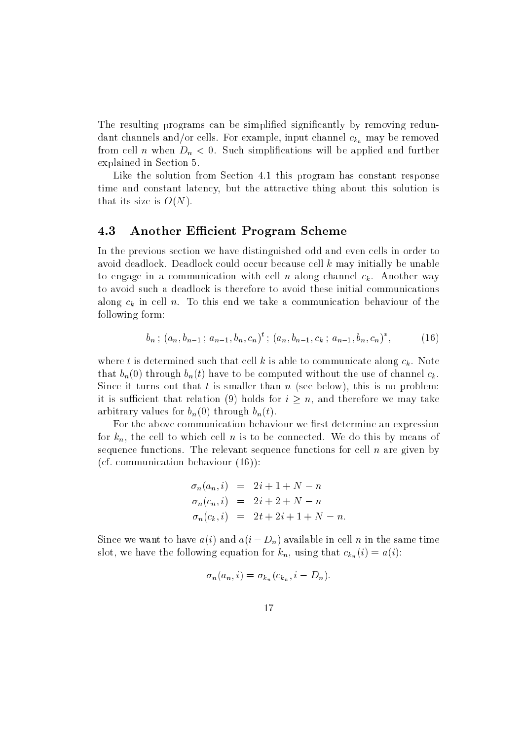The resulting programs can be simplified significantly by removing redundant channels and/or cells. For example, input channel  $c_{k_n}$  may be removed from cell n when  $D_n < 0$ . Such simplifications will be applied and further explained in Section 5.

Like the solution from Section 4.1 this program has constant response time and constant latency, but the attractive thing about this solution is that its size is  $O(N)$ .

#### 4.3 Another Efficient Program Scheme

In the previous section we have distinguished odd and even cells in order to avoid deadlock. Deadlock could occur because cell <sup>k</sup> may initially be unable to engage in a communication with cell n along channel  $c_k$ . Another way to avoid such a deadlock is therefore to avoid these initial communications along  $c_k$  in cell n. To this end we take a communication behaviour of the following form:

$$
b_n; (a_n, b_{n-1}; a_{n-1}, b_n, c_n)^t; (a_n, b_{n-1}, c_k; a_{n-1}, b_n, c_n)^*, \qquad (16)
$$

where t is determined such that cell k is able to communicate along  $c_k$ . Note that  $b_n(0)$  through  $b_n(t)$  have to be computed without the use of channel  $c_k$ . Since it turns out that t is smaller than  $n$  (see below), this is no problem: it is sufficient that relation (9) holds for  $i > n$ , and therefore we may take arbitrary values for  $b_n(0)$  through  $b_n(t)$ .

For the above communication behaviour we first determine an expression for  $k_n$ , the cell to which cell n is to be connected. We do this by means of sequence functions. The relevant sequence functions for cell  $n$  are given by (cf. communication behaviour (16)):

$$
\sigma_n(a_n, i) = 2i + 1 + N - n \n\sigma_n(c_n, i) = 2i + 2 + N - n \n\sigma_n(c_k, i) = 2t + 2i + 1 + N - n.
$$

Since we want to have  $a(i)$  and  $a(i - D_n)$  available in cell n in the same time slot, we have the following equation for  $k_n$ , using that  $c_{k_n}(i) = a(i)$ :

$$
\sigma_n(a_n, i) = \sigma_{k_n}(c_{k_n}, i - D_n).
$$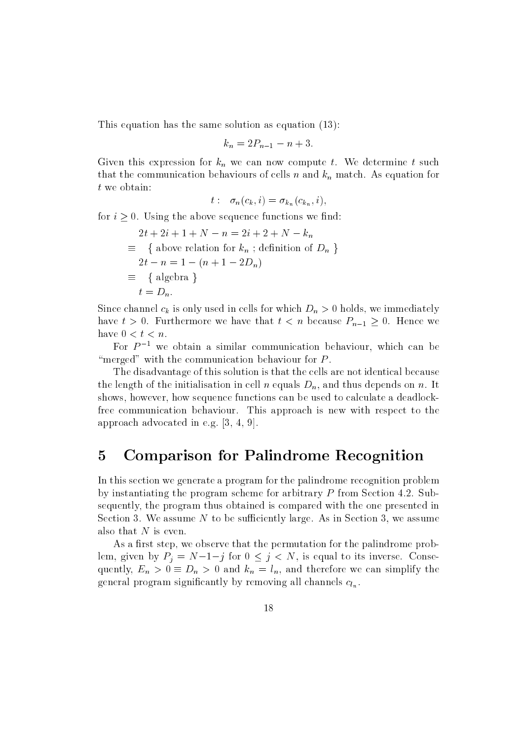This equation has the same solution as equation (13):

$$
k_n = 2P_{n-1} - n + 3.
$$

Given this expression for  $k_n$  we can now compute t. We determine t such that the communication behaviours of cells n and  $k_n$  match. As equation for <sup>t</sup> we obtain:

$$
t: \sigma_n(c_k, i) = \sigma_{k_n}(c_{k_n}, i),
$$

for  $i \geq 0$ . Using the above sequence functions we find:

$$
2t + 2i + 1 + N - n = 2i + 2 + N - k_n
$$
  
\n
$$
\equiv \{ \text{ above relation for } k_n \; \text{definition of } D_n \}
$$
  
\n
$$
2t - n = 1 - (n + 1 - 2D_n)
$$
  
\n
$$
\equiv \{ \text{algebra } \}
$$
  
\n
$$
t = D_n.
$$

Since channel  $c_k$  is only used in cells for which  $D_n > 0$  holds, we immediately have  $t > 0$ . Furthermore we have that  $t < n$  because  $P_{n-1} \geq 0$ . Hence we have  $0 < t < n$ .

For  $P^{-1}$  we obtain a similar communication behaviour, which can be "merged" with the communication behaviour for  $P$ .

The disadvantage of this solution is that the cells are not identical because the length of the initialisation in cell n equals  $D_n$ , and thus depends on n. It shows, however, how sequence functions can be used to calculate a deadlockfree communication behaviour. This approach is new with respect to the approach advocated in e.g. [3, 4, 9].

### 5 Comparison for Palindrome Recognition

In this section we generate a program for the palindrome recognition problem by instantiating the program scheme for arbitrary <sup>P</sup> from Section 4.2. Subsequently, the program thus obtained is compared with the one presented in Section 3. We assume  $N$  to be sufficiently large. As in Section 3, we assume also that  $N$  is even.

As a first step, we observe that the permutation for the palindrome problem, given by  $P_j = N-1-j$  for  $0 \le j \le N$ , is equal to its inverse. Consequently,  $E_n > 0 \equiv D_n > 0$  and  $k_n = l_n$ , and therefore we can simplify the general program significantly by removing all channels  $c_{l_n}$ .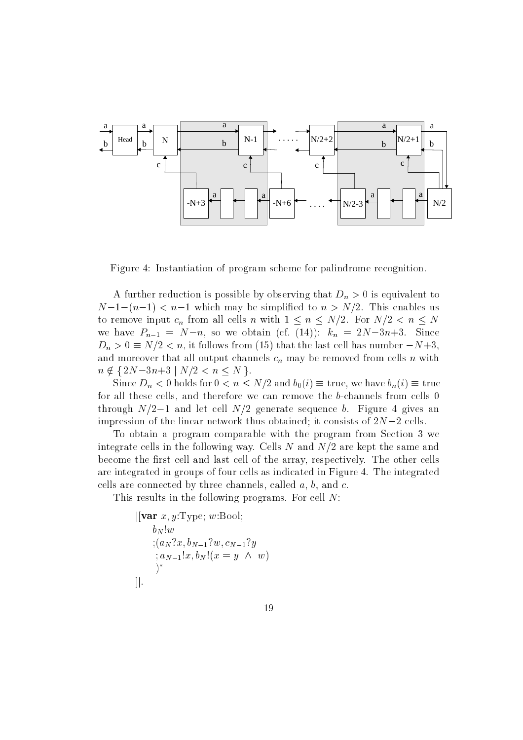

Figure 4: Instantiation of program scheme for palindrome recognition.

A further reduction is possible by observing that  $D_n > 0$  is equivalent to  $N-1-(n-1) < n-1$  which may be simplified to  $n > N/2$ . This enables us to remove input  $c_n$  from all cells n with  $1 \leq n \leq N/2$ . For  $N/2 < n \leq N$ we have  $P_{n-1} = N-n$ , so we obtain (cf. (14)):  $k_n = 2N-3n+3$ . Since  $D_n > 0 \equiv N/2 < n$ , it follows from (15) that the last cell has number  $-N+3$ , and moreover that all output channels  $c_n$  may be removed from cells n with  $n \notin \{ 2N-3n+3 \mid N/2 < n \leq N \}.$ 

Since  $D_n < 0$  holds for  $0 < n \leq N/2$  and  $b_0(i) \equiv \text{true}$ , we have  $b_n(i) \equiv \text{true}$ for all these cells, and therefore we can remove the b-channels from cells 0 through  $N/2-1$  and let cell  $N/2$  generate sequence b. Figure 4 gives an impression of the linear network thus obtained; it consists of  $2N-2$  cells.

To obtain a program comparable with the program from Section 3 we integrate cells in the following way. Cells  $N$  and  $N/2$  are kept the same and become the first cell and last cell of the array, respectively. The other cells are integrated in groups of four cells as indicated in Figure 4. The integrated cells are connected by three channels, called  $a, b$ , and  $c$ .

This results in the following programs. For cell N:

 $\left\vert \left[ \mathbf{var} \; x, y \right] \right\vert$ Type; w:Bool; **b**  $\mathbf{N}$  . **by**  $\mathbf{v}$  , and  $\mathbf{v}$  and  $\mathbf{v}$  and  $\mathbf{v}$  is the property of  $\mathbf{v}$  $; a_{N-1}!x, b_N! (x = y \land w)$ )  $\cdot$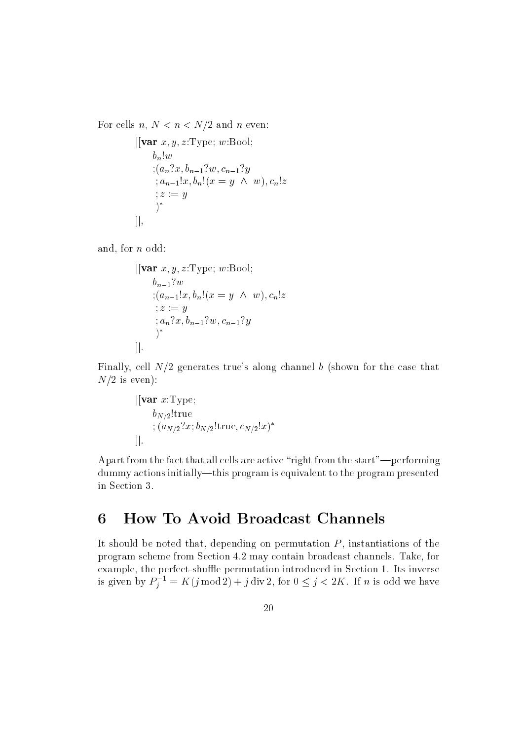For cells  $n, N < n < N/2$  and n even:

```
\left\vert \left\langle \mathbf{var} \right\vert x,y,z; \mathrm{Type}; \, w \text{:Bool}; \right.b_n!w; (a_n?x, b_{n-1}?w, c_{n-1}?y); a_{n-1}!x, b_n! (x = y \ \wedge \ w), c_n!z: z := y)^*\cdot]\vert,
```
and, for <sup>n</sup> odd:

$$
\begin{aligned}\n&\|\mathbf{var}\;x, y, z: \text{Type}; \, w: \text{Bool}; \\
& b_{n-1}?w \\
&\;;(a_{n-1}!x, b_n!(x = y \ \wedge \ w), c_n!z \\
&; z := y \\
&; a_n?x, b_{n-1}?w, c_{n-1}?y \\
&)\n\end{aligned}
$$

Finally, cell  $N/2$  generates true's along channel b (shown for the case that  $N/2$  is even):

$$
\begin{aligned} &|[\mathbf{var}\;x:\text{Type};\\ & b_{N/2}!\text{true}\\ &;(a_{N/2}?x;b_{N/2}!\text{true},c_{N/2}!x)^*\\ &|]. \end{aligned}
$$

Apart from the fact that all cells are active "right from the start"—performing dummy actions initially—this program is equivalent to the program presented in Section 3.

## 6 How To Avoid Broadcast Channels

It should be noted that, depending on permutation  $P$ , instantiations of the program scheme from Section 4.2 may contain broadcast channels. Take, for example, the perfect-shuffle permutation introduced in Section 1. Its inverse is given by  $P_i = K(j \mod 2) + j \text{ div } 2$ , for  $0 \leq j \leq 2K$ . If n is odd we have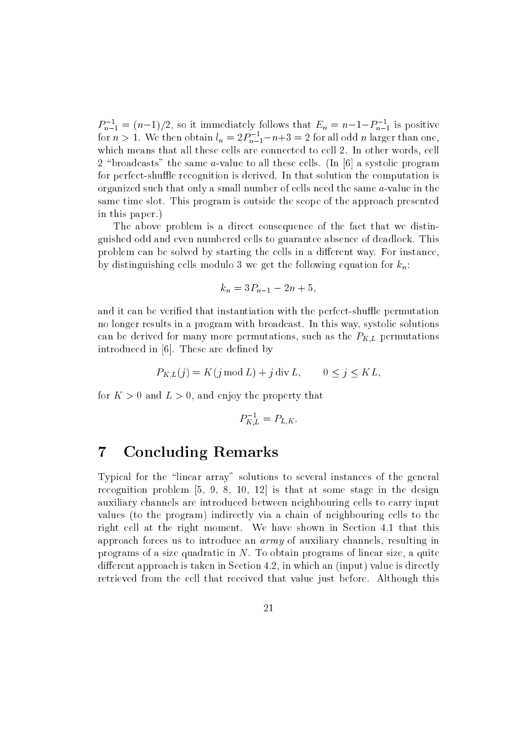$P_{n-1} = (n-1)/2$ , so it immediately follows that  $E_n = n-1-P_{n-1}$  is positive for  $n > 1$ . We then obtain  $l_n = 2P_{n-1}-n+3 = 2$  for all odd n larger than one, which means that all these cells are connected to cell 2. In other words, cell 2 "broadcasts" the same a-value to all these cells. (In  $[6]$  a systolic program for perfect-shuffle recognition is derived. In that solution the computation is organized such that only a small number of cells need the same a-value in the same time slot. This program is outside the scope of the approach presented in this paper.)

The above problem is a direct consequence of the fact that we distinguished odd and even numbered cells to guarantee absence of deadlock. This problem can be solved by starting the cells in a different way. For instance, by distinguishing cells modulo 3 we get the following equation for  $k_n$ :

$$
k_n = 3P_{n-1} - 2n + 5,
$$

and it can be verified that instantiation with the perfect-shuffle permutation no longer results in a program with broadcast. In this way, systolic solutions can be derived for many more permutations, such as the  $P_{K,L}$  permutations introduced in [6]. These are defined by

$$
P_{K,L}(j) = K(j \mod L) + j \operatorname{div} L, \qquad 0 \le j \le KL,
$$

for  $K > 0$  and  $L > 0$ , and enjoy the property that

$$
P_{K,L}^{-1} = P_{L,K}.
$$

### 7 Concluding Remarks

Typical for the "linear array" solutions to several instances of the general recognition problem  $[5, 9, 8, 10, 12]$  is that at some stage in the design auxiliary channels are introduced between neighbouring cells to carry input values (to the program) indirectly via a chain of neighbouring cells to the right cell at the right moment. We have shown in Section 4.1 that this approach forces us to introduce an array of auxiliary channels, resulting in programs of a size quadratic in N. To obtain programs of linear size, a quite different approach is taken in Section 4.2, in which an (input) value is directly retrieved from the cell that received that value just before. Although this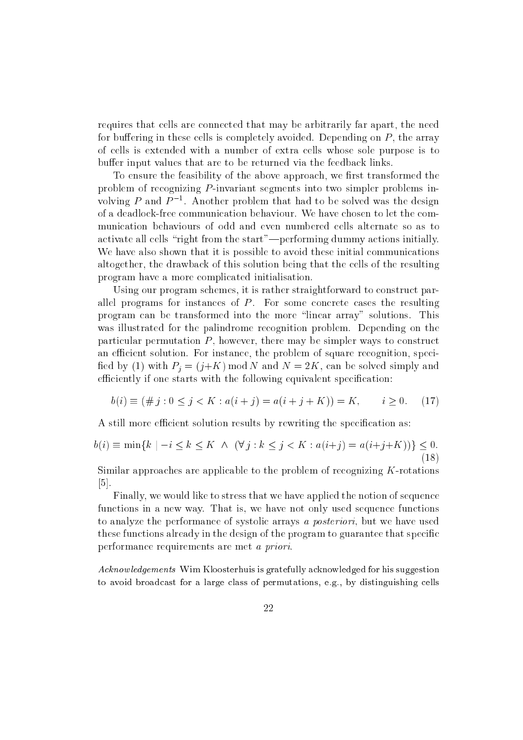requires that cells are connected that may be arbitrarily far apart, the need for buffering in these cells is completely avoided. Depending on  $P$ , the array of cells is extended with a number of extra cells whose sole purpose is to buffer input values that are to be returned via the feedback links.

To ensure the feasibility of the above approach, we first transformed the problem of recognizing  $P$ -invariant segments into two simpler problems involving  $P$  and  $P$  -. Another problem that had to be solved was the design of a deadlock-free communication behaviour. We have chosen to let the communication behaviours of odd and even numbered cells alternate so as to activate all cells "right from the start"—performing dummy actions initially. We have also shown that it is possible to avoid these initial communications altogether, the drawback of this solution being that the cells of the resulting program have a more complicated initialisation.

Using our program schemes, it is rather straightforward to construct parallel programs for instances of  $P$ . For some concrete cases the resulting program can be transformed into the more \linear array" solutions. This was illustrated for the palindrome recognition problem. Depending on the particular permutation  $P$ , however, there may be simpler ways to construct an efficient solution. For instance, the problem of square recognition, specified by (1) with  $P_i = (j + K) \text{ mod } N$  and  $N = 2K$ , can be solved simply and efficiently if one starts with the following equivalent specification:

$$
b(i) \equiv (\# j : 0 \le j < K : a(i + j) = a(i + j + K)) = K, \qquad i \ge 0. \tag{17}
$$

A still more efficient solution results by rewriting the specification as:

$$
b(i) \equiv \min\{k \mid -i \le k \le K \; \wedge \; (\forall j : k \le j < K : a(i+j) = a(i+j+K))\} \le 0. \tag{18}
$$

Similar approaches are applicable to the problem of recognizing  $K$ -rotations  $|5|$ .

Finally, we would like to stress that we have applied the notion of sequence functions in a new way. That is, we have not only used sequence functions to analyze the performance of systolic arrays a posteriori, but we have used these functions already in the design of the program to guarantee that specic performance requirements are met a priori.

Acknow ledgements Wim Kloosterhuis is gratefully acknowledged for his suggestion to avoid broadcast for a large class of permutations, e.g., by distinguishing cells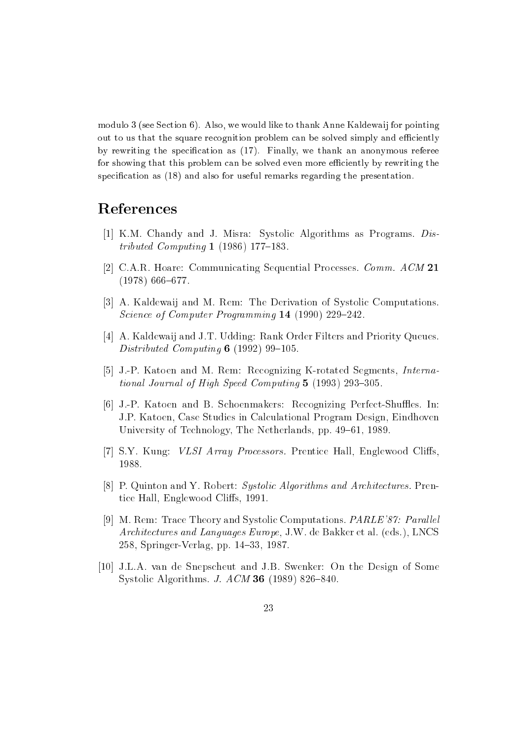modulo 3 (see Section 6). Also, we would like to thank Anne Kaldewaij for pointing out to us that the square recognition problem can be solved simply and efficiently by rewriting the specification as  $(17)$ . Finally, we thank an anonymous referee for showing that this problem can be solved even more efficiently by rewriting the specification as  $(18)$  and also for useful remarks regarding the presentation.

# References

- [1] K.M. Chandy and J. Misra: Systolic Algorithms as Programs. Distributed Computing 1 (1986) 177-183.
- [2] C.A.R. Hoare: Communicating Sequential Processes. Comm. ACM <sup>21</sup>  $(1978)$  666–677.
- [3] A. Kaldewaij and M. Rem: The Derivation of Systolic Computations. Science of Computer Programming  $14$  (1990) 229-242.
- [4] A. Kaldewaij and J.T. Udding: Rank Order Filters and Priority Queues. Distributed Computing  $6$  (1992) 99-105.
- [5] J.-P. Katoen and M. Rem: Recognizing K-rotated Segments, International Journal of High Speed Computing  $5$  (1993) 293-305.
- [6] J.-P. Katoen and B. Schoenmakers: Recognizing Perfect-Shuffles. In: J.P. Katoen, Case Studies in Calculational Program Design, Eindhoven University of Technology, The Netherlands, pp. 49–61, 1989.
- [7] S.Y. Kung: *VLSI Array Processors.* Prentice Hall, Englewood Cliffs, 1988.
- [8] P. Quinton and Y. Robert: Systolic Algorithms and Architectures. Prentice Hall, Englewood Cliffs, 1991.
- [9] M. Rem: Trace Theory and Systolic Computations. *PARLE'87: Parallel* Architectures and Languages Europe, J.W. de Bakker et al. (eds.), LNCS 258, Springer-Verlag, pp. 14-33, 1987.
- [10] J.L.A. van de Snepscheut and J.B. Swenker: On the Design of Some Systolic Algorithms. J.  $ACM$  36 (1989) 826-840.